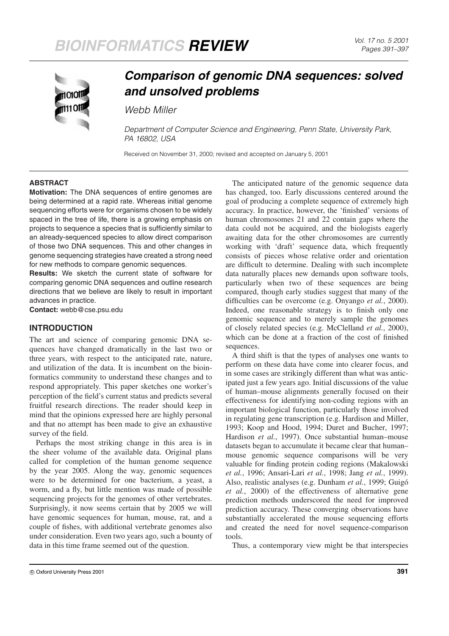

# *Comparison of genomic DNA sequences: solved and unsolved problems*

*Webb Miller*

*Department of Computer Science and Engineering, Penn State, University Park, PA 16802, USA*

Received on November 31, 2000; revised and accepted on January 5, 2001

## **ABSTRACT**

**Motivation:** The DNA sequences of entire genomes are being determined at a rapid rate. Whereas initial genome sequencing efforts were for organisms chosen to be widely spaced in the tree of life, there is a growing emphasis on projects to sequence a species that is sufficiently similar to an already-sequenced species to allow direct comparison of those two DNA sequences. This and other changes in genome sequencing strategies have created a strong need for new methods to compare genomic sequences.

**Results:** We sketch the current state of software for comparing genomic DNA sequences and outline research directions that we believe are likely to result in important advances in practice.

**Contact:** webb@cse.psu.edu

## **INTRODUCTION**

The art and science of comparing genomic DNA sequences have changed dramatically in the last two or three years, with respect to the anticipated rate, nature, and utilization of the data. It is incumbent on the bioinformatics community to understand these changes and to respond appropriately. This paper sketches one worker's perception of the field's current status and predicts several fruitful research directions. The reader should keep in mind that the opinions expressed here are highly personal and that no attempt has been made to give an exhaustive survey of the field.

Perhaps the most striking change in this area is in the sheer volume of the available data. Original plans called for completion of the human genome sequence by the year 2005. Along the way, genomic sequences were to be determined for one bacterium, a yeast, a worm, and a fly, but little mention was made of possible sequencing projects for the genomes of other vertebrates. Surprisingly, it now seems certain that by 2005 we will have genomic sequences for human, mouse, rat, and a couple of fishes, with additional vertebrate genomes also under consideration. Even two years ago, such a bounty of data in this time frame seemed out of the question.

The anticipated nature of the genomic sequence data has changed, too. Early discussions centered around the goal of producing a complete sequence of extremely high accuracy. In practice, however, the 'finished' versions of human chromosomes 21 and 22 contain gaps where the data could not be acquired, and the biologists eagerly awaiting data for the other chromosomes are currently working with 'draft' sequence data, which frequently consists of pieces whose relative order and orientation are difficult to determine. Dealing with such incomplete data naturally places new demands upon software tools, particularly when two of these sequences are being compared, though early studies suggest that many of the difficulties can be overcome (e.g. Onyango *et al.*, 2000). Indeed, one reasonable strategy is to finish only one genomic sequence and to merely sample the genomes of closely related species (e.g. McClelland *et al.*, 2000), which can be done at a fraction of the cost of finished sequences.

A third shift is that the types of analyses one wants to perform on these data have come into clearer focus, and in some cases are strikingly different than what was anticipated just a few years ago. Initial discussions of the value of human–mouse alignments generally focused on their effectiveness for identifying non-coding regions with an important biological function, particularly those involved in regulating gene transcription (e.g. Hardison and Miller, 1993; Koop and Hood, 1994; Duret and Bucher, 1997; Hardison *et al.*, 1997). Once substantial human–mouse datasets began to accumulate it became clear that human– mouse genomic sequence comparisons will be very valuable for finding protein coding regions (Makalowski *et al.*, 1996; Ansari-Lari *et al.*, 1998; Jang *et al.*, 1999). Also, realistic analyses (e.g. Dunham *et al.*, 1999; Guigo´ *et al.*, 2000) of the effectiveness of alternative gene prediction methods underscored the need for improved prediction accuracy. These converging observations have substantially accelerated the mouse sequencing efforts and created the need for novel sequence-comparison tools.

Thus, a contemporary view might be that interspecies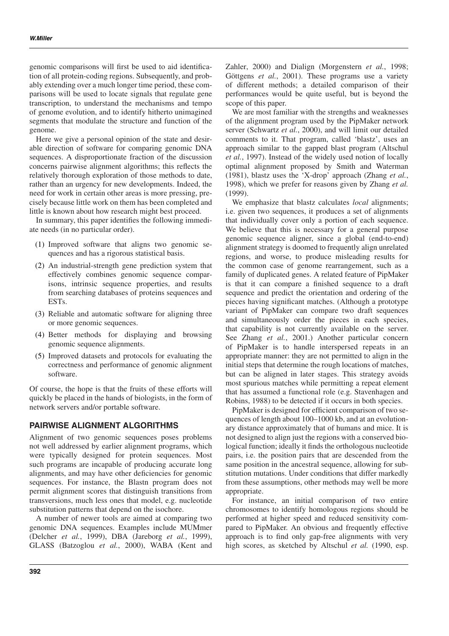genomic comparisons will first be used to aid identification of all protein-coding regions. Subsequently, and probably extending over a much longer time period, these comparisons will be used to locate signals that regulate gene transcription, to understand the mechanisms and tempo of genome evolution, and to identify hitherto unimagined segments that modulate the structure and function of the genome.

Here we give a personal opinion of the state and desirable direction of software for comparing genomic DNA sequences. A disproportionate fraction of the discussion concerns pairwise alignment algorithms; this reflects the relatively thorough exploration of those methods to date, rather than an urgency for new developments. Indeed, the need for work in certain other areas is more pressing, precisely because little work on them has been completed and little is known about how research might best proceed.

In summary, this paper identifies the following immediate needs (in no particular order).

- (1) Improved software that aligns two genomic sequences and has a rigorous statistical basis.
- (2) An industrial-strength gene prediction system that effectively combines genomic sequence comparisons, intrinsic sequence properties, and results from searching databases of proteins sequences and ESTs.
- (3) Reliable and automatic software for aligning three or more genomic sequences.
- (4) Better methods for displaying and browsing genomic sequence alignments.
- (5) Improved datasets and protocols for evaluating the correctness and performance of genomic alignment software.

Of course, the hope is that the fruits of these efforts will quickly be placed in the hands of biologists, in the form of network servers and/or portable software.

#### **PAIRWISE ALIGNMENT ALGORITHMS**

Alignment of two genomic sequences poses problems not well addressed by earlier alignment programs, which were typically designed for protein sequences. Most such programs are incapable of producing accurate long alignments, and may have other deficiencies for genomic sequences. For instance, the Blastn program does not permit alignment scores that distinguish transitions from transversions, much less ones that model, e.g. nucleotide substitution patterns that depend on the isochore.

A number of newer tools are aimed at comparing two genomic DNA sequences. Examples include MUMmer (Delcher *et al.*, 1999), DBA (Jareborg *et al.*, 1999), GLASS (Batzoglou *et al.*, 2000), WABA (Kent and Zahler, 2000) and Dialign (Morgenstern *et al.*, 1998; Göttgens et al., 2001). These programs use a variety of different methods; a detailed comparison of their performances would be quite useful, but is beyond the scope of this paper.

We are most familiar with the strengths and weaknesses of the alignment program used by the PipMaker network server (Schwartz *et al.*, 2000), and will limit our detailed comments to it. That program, called 'blastz', uses an approach similar to the gapped blast program (Altschul *et al.*, 1997). Instead of the widely used notion of locally optimal alignment proposed by Smith and Waterman (1981), blastz uses the 'X-drop' approach (Zhang *et al.*, 1998), which we prefer for reasons given by Zhang *et al.* (1999).

We emphasize that blastz calculates *local* alignments; i.e. given two sequences, it produces a set of alignments that individually cover only a portion of each sequence. We believe that this is necessary for a general purpose genomic sequence aligner, since a global (end-to-end) alignment strategy is doomed to frequently align unrelated regions, and worse, to produce misleading results for the common case of genome rearrangement, such as a family of duplicated genes. A related feature of PipMaker is that it can compare a finished sequence to a draft sequence and predict the orientation and ordering of the pieces having significant matches. (Although a prototype variant of PipMaker can compare two draft sequences and simultaneously order the pieces in each species, that capability is not currently available on the server. See Zhang *et al.*, 2001.) Another particular concern of PipMaker is to handle interspersed repeats in an appropriate manner: they are not permitted to align in the initial steps that determine the rough locations of matches, but can be aligned in later stages. This strategy avoids most spurious matches while permitting a repeat element that has assumed a functional role (e.g. Stavenhagen and Robins, 1988) to be detected if it occurs in both species.

PipMaker is designed for efficient comparison of two sequences of length about 100–1000 kb, and at an evolutionary distance approximately that of humans and mice. It is not designed to align just the regions with a conserved biological function; ideally it finds the orthologous nucleotide pairs, i.e. the position pairs that are descended from the same position in the ancestral sequence, allowing for substitution mutations. Under conditions that differ markedly from these assumptions, other methods may well be more appropriate.

For instance, an initial comparison of two entire chromosomes to identify homologous regions should be performed at higher speed and reduced sensitivity compared to PipMaker. An obvious and frequently effective approach is to find only gap-free alignments with very high scores, as sketched by Altschul *et al.* (1990, esp.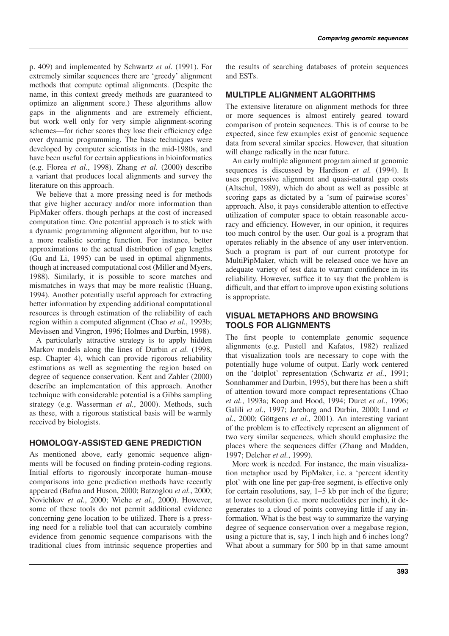p. 409) and implemented by Schwartz *et al.* (1991). For extremely similar sequences there are 'greedy' alignment methods that compute optimal alignments. (Despite the name, in this context greedy methods are guaranteed to optimize an alignment score.) These algorithms allow gaps in the alignments and are extremely efficient, but work well only for very simple alignment-scoring schemes—for richer scores they lose their efficiency edge over dynamic programming. The basic techniques were developed by computer scientists in the mid-1980s, and have been useful for certain applications in bioinformatics (e.g. Florea *et al.*, 1998). Zhang *et al.* (2000) describe a variant that produces local alignments and survey the literature on this approach.

We believe that a more pressing need is for methods that give higher accuracy and/or more information than PipMaker offers. though perhaps at the cost of increased computation time. One potential approach is to stick with a dynamic programming alignment algorithm, but to use a more realistic scoring function. For instance, better approximations to the actual distribution of gap lengths (Gu and Li, 1995) can be used in optimal alignments, though at increased computational cost (Miller and Myers, 1988). Similarly, it is possible to score matches and mismatches in ways that may be more realistic (Huang, 1994). Another potentially useful approach for extracting better information by expending additional computational resources is through estimation of the reliability of each region within a computed alignment (Chao *et al.*, 1993b; Mevissen and Vingron, 1996; Holmes and Durbin, 1998).

A particularly attractive strategy is to apply hidden Markov models along the lines of Durbin *et al.* (1998, esp. Chapter 4), which can provide rigorous reliability estimations as well as segmenting the region based on degree of sequence conservation. Kent and Zahler (2000) describe an implementation of this approach. Another technique with considerable potential is a Gibbs sampling strategy (e.g. Wasserman *et al.*, 2000). Methods, such as these, with a rigorous statistical basis will be warmly received by biologists.

#### **HOMOLOGY-ASSISTED GENE PREDICTION**

As mentioned above, early genomic sequence alignments will be focused on finding protein-coding regions. Initial efforts to rigorously incorporate human–mouse comparisons into gene prediction methods have recently appeared (Bafna and Huson, 2000; Batzoglou *et al.*, 2000; Novichkov *et al.*, 2000; Wiehe *et al.*, 2000). However, some of these tools do not permit additional evidence concerning gene location to be utilized. There is a pressing need for a reliable tool that can accurately combine evidence from genomic sequence comparisons with the traditional clues from intrinsic sequence properties and the results of searching databases of protein sequences and ESTs.

### **MULTIPLE ALIGNMENT ALGORITHMS**

The extensive literature on alignment methods for three or more sequences is almost entirely geared toward comparison of protein sequences. This is of course to be expected, since few examples exist of genomic sequence data from several similar species. However, that situation will change radically in the near future.

An early multiple alignment program aimed at genomic sequences is discussed by Hardison *et al.* (1994). It uses progressive alignment and quasi-natural gap costs (Altschul, 1989), which do about as well as possible at scoring gaps as dictated by a 'sum of pairwise scores' approach. Also, it pays considerable attention to effective utilization of computer space to obtain reasonable accuracy and efficiency. However, in our opinion, it requires too much control by the user. Our goal is a program that operates reliably in the absence of any user intervention. Such a program is part of our current prototype for MultiPipMaker, which will be released once we have an adequate variety of test data to warrant confidence in its reliability. However, suffice it to say that the problem is difficult, and that effort to improve upon existing solutions is appropriate.

## **VISUAL METAPHORS AND BROWSING TOOLS FOR ALIGNMENTS**

The first people to contemplate genomic sequence alignments (e.g. Pustell and Kafatos, 1982) realized that visualization tools are necessary to cope with the potentially huge volume of output. Early work centered on the 'dotplot' representation (Schwartz *et al.*, 1991; Sonnhammer and Durbin, 1995), but there has been a shift of attention toward more compact representations (Chao *et al.*, 1993a; Koop and Hood, 1994; Duret *et al.*, 1996; Galili *et al.*, 1997; Jareborg and Durbin, 2000; Lund *et al.*, 2000; Göttgens et al., 2001). An interesting variant of the problem is to effectively represent an alignment of two very similar sequences, which should emphasize the places where the sequences differ (Zhang and Madden, 1997; Delcher *et al.*, 1999).

More work is needed. For instance, the main visualization metaphor used by PipMaker, i.e. a 'percent identity plot' with one line per gap-free segment, is effective only for certain resolutions, say, 1–5 kb per inch of the figure; at lower resolution (i.e. more nucleotides per inch), it degenerates to a cloud of points conveying little if any information. What is the best way to summarize the varying degree of sequence conservation over a megabase region, using a picture that is, say, 1 inch high and 6 inches long? What about a summary for 500 bp in that same amount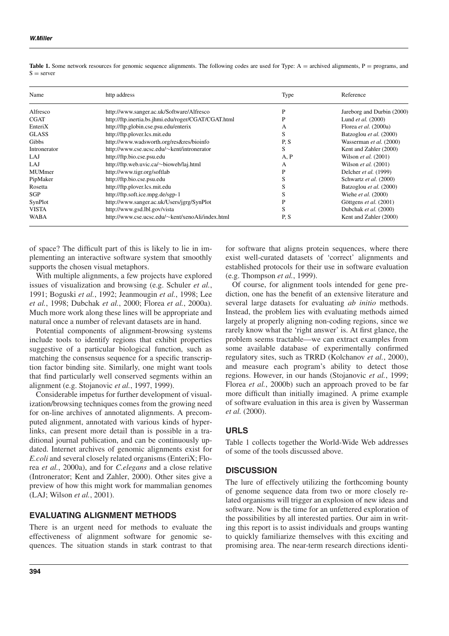| Name         | http address                                        | Type | Reference                  |
|--------------|-----------------------------------------------------|------|----------------------------|
| Alfresco     | http://www.sanger.ac.uk/Software/Alfresco           | P    | Jareborg and Durbin (2000) |
| <b>CGAT</b>  | http://ftp.inertia.bs.jhmi.edu/roger/CGAT/CGAT.html | P    | Lund <i>et al.</i> (2000)  |
| EnteriX      | http://ftp.globin.cse.psu.edu/enterix               | А    | Florea et al. (2000a)      |
| <b>GLASS</b> | http://ftp.plover.lcs.mit.edu                       | S    | Batzoglou et al. (2000)    |
| Gibbs        | http://www.wadsworth.org/res&res/bioinfo            | P, S | Wasserman et al. (2000)    |
| Intronerator | http://www.cse.ucsc.edu/~kent/intronerator          | S    | Kent and Zahler (2000)     |
| LAJ          | http://ftp.bio.cse.psu.edu                          | A, P | Wilson et al. $(2001)$     |
| LAJ          | http://ftp.web.uvic.ca/~bioweb/laj.html             | А    | Wilson et al. $(2001)$     |
| MUMmer       | http://www.tigr.org/softlab                         | P    | Delcher et al. (1999)      |
| PipMaker     | http://ftp.bio.cse.psu.edu                          |      | Schwartz et al. (2000)     |
| Rosetta      | http://ftp.plover.lcs.mit.edu                       | S    | Batzoglou et al. (2000)    |
| <b>SGP</b>   | http://ftp.soft.ice.mpg.de/sgp-1                    | S    | Wiehe et al. (2000)        |
| SynPlot      | http://www.sanger.ac.uk/Users/jgrg/SynPlot          | P    | Göttgens et al. (2001)     |
| <b>VISTA</b> | http://www.gsd.lbl.gov/vista                        | S    | Dubchak et al. (2000)      |
| <b>WABA</b>  | http://www.cse.ucsc.edu/~kent/xenoAli/index.html    | P.S  | Kent and Zahler (2000)     |

**Table 1.** Some network resources for genomic sequence alignments. The following codes are used for Type:  $A =$ archived alignments,  $P =$ programs, and  $S =$ server

of space? The difficult part of this is likely to lie in implementing an interactive software system that smoothly supports the chosen visual metaphors.

With multiple alignments, a few projects have explored issues of visualization and browsing (e.g. Schuler *et al.*, 1991; Boguski *et al.*, 1992; Jeanmougin *et al.*, 1998; Lee *et al.*, 1998; Dubchak *et al.*, 2000; Florea *et al.*, 2000a). Much more work along these lines will be appropriate and natural once a number of relevant datasets are in hand.

Potential components of alignment-browsing systems include tools to identify regions that exhibit properties suggestive of a particular biological function, such as matching the consensus sequence for a specific transcription factor binding site. Similarly, one might want tools that find particularly well conserved segments within an alignment (e.g. Stojanovic *et al.*, 1997, 1999).

Considerable impetus for further development of visualization/browsing techniques comes from the growing need for on-line archives of annotated alignments. A precomputed alignment, annotated with various kinds of hyperlinks, can present more detail than is possible in a traditional journal publication, and can be continuously updated. Internet archives of genomic alignments exist for *E.coli* and several closely related organisms (EnteriX; Florea *et al.*, 2000a), and for *C.elegans* and a close relative (Intronerator; Kent and Zahler, 2000). Other sites give a preview of how this might work for mammalian genomes (LAJ; Wilson *et al.*, 2001).

## **EVALUATING ALIGNMENT METHODS**

There is an urgent need for methods to evaluate the effectiveness of alignment software for genomic sequences. The situation stands in stark contrast to that for software that aligns protein sequences, where there exist well-curated datasets of 'correct' alignments and established protocols for their use in software evaluation (e.g. Thompson *et al.*, 1999).

Of course, for alignment tools intended for gene prediction, one has the benefit of an extensive literature and several large datasets for evaluating *ab initio* methods. Instead, the problem lies with evaluating methods aimed largely at properly aligning non-coding regions, since we rarely know what the 'right answer' is. At first glance, the problem seems tractable—we can extract examples from some available database of experimentally confirmed regulatory sites, such as TRRD (Kolchanov *et al.*, 2000), and measure each program's ability to detect those regions. However, in our hands (Stojanovic *et al.*, 1999; Florea *et al.*, 2000b) such an approach proved to be far more difficult than initially imagined. A prime example of software evaluation in this area is given by Wasserman *et al.* (2000).

## **URLS**

Table 1 collects together the World-Wide Web addresses of some of the tools discussed above.

#### **DISCUSSION**

The lure of effectively utilizing the forthcoming bounty of genome sequence data from two or more closely related organisms will trigger an explosion of new ideas and software. Now is the time for an unfettered exploration of the possibilities by all interested parties. Our aim in writing this report is to assist individuals and groups wanting to quickly familiarize themselves with this exciting and promising area. The near-term research directions identi-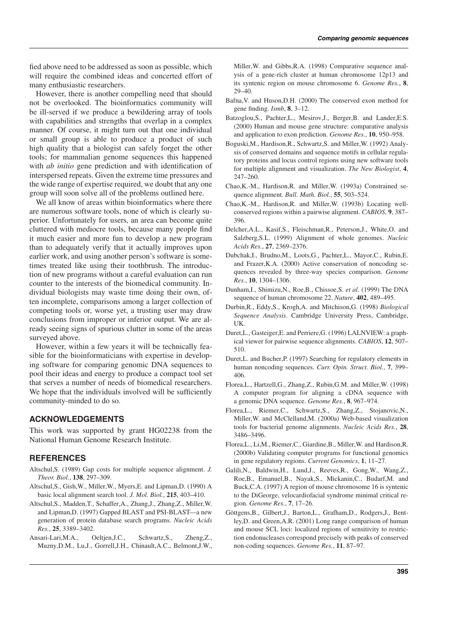fied above need to be addressed as soon as possible, which will require the combined ideas and concerted effort of many enthusiastic researchers.

However, there is another compelling need that should not be overlooked. The bioinformatics community will be ill-served if we produce a bewildering array of tools with capabilities and strengths that overlap in a complex manner. Of course, it might turn out that one individual or small group is able to produce a product of such high quality that a biologist can safely forget the other tools; for mammalian genome sequences this happened with *ab initio* gene prediction and with identification of interspersed repeats. Given the extreme time pressures and the wide range of expertise required, we doubt that any one group will soon solve all of the problems outlined here.

We all know of areas within bioinformatics where there are numerous software tools, none of which is clearly superior. Unfortunately for users, an area can become quite cluttered with mediocre tools, because many people find it much easier and more fun to develop a new program than to adequately verify that it actually improves upon earlier work, and using another person's software is sometimes treated like using their toothbrush. The introduction of new programs without a careful evaluation can run counter to the interests of the biomedical community. Individual biologists may waste time doing their own, often incomplete, comparisons among a larger collection of competing tools or, worse yet, a trusting user may draw conclusions from improper or inferior output. We are already seeing signs of spurious clutter in some of the areas surveyed above.

However, within a few years it will be technically feasible for the bioinformaticians with expertise in developing software for comparing genomic DNA sequences to pool their ideas and energy to produce a compact tool set that serves a number of needs of biomedical researchers. We hope that the individuals involved will be sufficiently community-minded to do so.

#### **ACKNOWLEDGEMENTS**

This work was supported by grant HG02238 from the National Human Genome Research Institute.

#### **REFERENCES**

- Altschul,S. (1989) Gap costs for multiple sequence alignment. *J. Theor. Biol.*, **138**, 297–309.
- Altschul,S., Gish,W., Miller,W., Myers,E. and Lipman,D. (1990) A basic local alignment search tool. *J. Mol. Biol.*, **215**, 403–410.
- Altschul,S., Madden,T., Schaffer,A., Zhang,J., Zhang,Z., Miller,W. and Lipman,D. (1997) Gapped BLAST and PSI-BLAST—a new generation of protein database search programs. *Nucleic Acids Res.*, **25**, 3389–3402.
- Ansari-Lari,M.A., Oeltjen,J.C., Schwartz,S., Zheng,Z., Muzny,D.M., Lu,J., Gorrell,J.H., Chinault,A.C., Belmont,J.W.,

Miller,W. and Gibbs,R.A. (1998) Comparative sequence analysis of a gene-rich cluster at human chromosome 12p13 and its syntenic region on mouse chromosome 6. *Genome Res.*, **8**, 29–40.

- Bafna,V. and Huson,D.H. (2000) The conserved exon method for gene finding. *Ismb*, **8**, 3–12.
- Batzoglou,S., Pachter,L., Mesirov,J., Berger,B. and Lander,E.S. (2000) Human and mouse gene structure: comparative analysis and application to exon prediction. *Genome Res.*, **10**, 950–958.
- Boguski,M., Hardison,R., Schwartz,S. and Miller,W. (1992) Analysis of conserved domains and sequence motifs in cellular regulatory proteins and locus control regions using new software tools for multiple alignment and visualization. *The New Biologist*, **4**, 247–260.
- Chao,K.-M., Hardison,R. and Miller,W. (1993a) Constrained sequence alignment. *Bull. Math. Biol.*, **55**, 503–524.
- Chao,K.-M., Hardison,R. and Miller,W. (1993b) Locating wellconserved regions within a pairwise alignment. *CABIOS*, **9**, 387– 396.
- Delcher,A.L., Kasif,S., Fleischman,R., Peterson,J., White,O. and Salzberg,S.L. (1999) Alignment of whole genomes. *Nucleic Acids Res.*, **27**, 2369–2376.
- Dubchak,I., Brudno,M., Loots,G., Pachter,L., Mayor,C., Rubin,E. and Frazer,K.A. (2000) Active conservation of noncoding sequences revealed by three-way species comparison. *Genome Res.*, **10**, 1304–1306.
- Dunham,I., Shimizu,N., Roe,B., Chissoe,S. *et al.* (1999) The DNA sequence of human chromosome 22. *Nature*, **402**, 489–495.
- Durbin,R., Eddy,S., Krogh,A. and Mitchison,G. (1998) *Biological Sequence Analysis*. Cambridge University Press, Cambridge, UK.
- Duret,L., Gasteiger,E. and Perriere,G. (1996) LALNVIEW: a graphical viewer for pairwise sequence alignments. *CABIOS*, **12**, 507– 510.
- Duret,L. and Bucher,P. (1997) Searching for regulatory elements in human noncoding sequences. *Curr. Opin. Struct. Biol.*, **7**, 399– 406.
- Florea,L., Hartzell,G., Zhang,Z., Rubin,G.M. and Miller,W. (1998) A computer program for aligning a cDNA sequence with a genomic DNA sequence. *Genome Res.*, **8**, 967–974.
- Florea,L., Riemer,C., Schwartz,S., Zhang,Z., Stojanovic,N., Miller,W. and McClelland,M. (2000a) Web-based visualization tools for bacterial genome alignments. *Nucleic Acids Res.*, **28**, 3486–3496.
- Florea,L., Li,M., Riemer,C., Giardine,B., Miller,W. and Hardison,R. (2000b) Validating computer programs for functional genomics in gene regulatory regions. *Current Genomics*, **1**, 11–27.
- Galili,N., Baldwin,H., Lund,J., Reeves,R., Gong,W., Wang,Z., Roe,B., Emanuel,B., Nayak,S., Mickanin,C., Budarf,M. and Buck,C.A. (1997) A region of mouse chromosome 16 is syntenic to the DiGeorge, velocardiofacial syndrome minimal critical region. *Genome Res.*, **7**, 17–26.
- Göttgens, B., Gilbert, J., Barton, L., Grafham, D., Rodgers, J., Bentley,D. and Green,A.R. (2001) Long range comparison of human and mouse SCL loci: localized regions of sensitivity to restriction endonucleases correspond precisely with peaks of conserved non-coding sequences. *Genome Res.*, **11**, 87–97.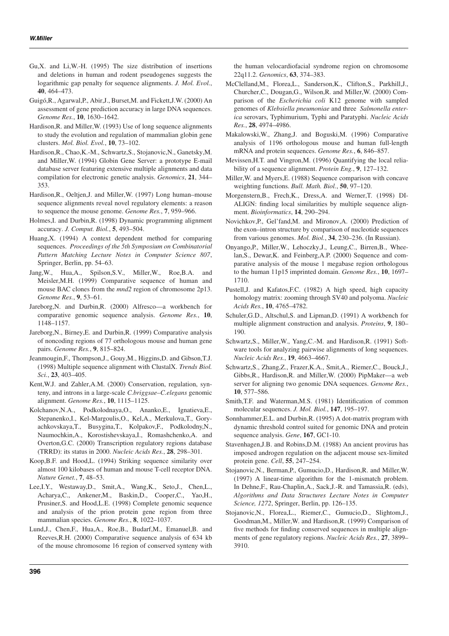- Gu,X. and Li,W.-H. (1995) The size distribution of insertions and deletions in human and rodent pseudogenes suggests the logarithmic gap penalty for sequence alignments. *J. Mol. Evol.*, **40**, 464–473.
- Guigo,R., Agarwal,P., Abir,J., Burset,M. and Fickett,J.W. (2000) An ´ assessment of gene prediction accuracy in large DNA sequences. *Genome Res.*, **10**, 1630–1642.
- Hardison,R. and Miller,W. (1993) Use of long sequence alignments to study the evolution and regulation of mammalian globin gene clusters. *Mol. Biol. Evol.*, **10**, 73–102.
- Hardison,R., Chao,K.-M., Schwartz,S., Stojanovic,N., Ganetsky,M. and Miller,W. (1994) Globin Gene Server: a prototype E-mail database server featuring extensive multiple alignments and data compilation for electronic genetic analysis. *Genomics*, **21**, 344– 353.
- Hardison,R., Oeltjen,J. and Miller,W. (1997) Long human–mouse sequence alignments reveal novel regulatory elements: a reason to sequence the mouse genome. *Genome Res.*, **7**, 959–966.
- Holmes,I. and Durbin,R. (1998) Dynamic programming alignment accuracy. *J. Comput. Biol.*, **5**, 493–504.
- Huang,X. (1994) A context dependent method for comparing sequences. *Proceedings of the 5th Symposium on Combinatorial Pattern Matching Lecture Notes in Computer Science 807*, Springer, Berlin, pp. 54–63.
- Jang,W., Hua,A., Spilson,S.V., Miller,W., Roe,B.A. and Meisler,M.H. (1999) Comparative sequence of human and mouse BAC clones from the *mnd2* region of chromosome 2p13. *Genome Res.*, **9**, 53–61.
- Jareborg,N. and Durbin,R. (2000) Alfresco—a workbench for comparative genomic sequence analysis. *Genome Res.*, **10**, 1148–1157.
- Jareborg,N., Birney,E. and Durbin,R. (1999) Comparative analysis of noncoding regions of 77 orthologous mouse and human gene pairs. *Genome Res.*, **9**, 815–824.
- Jeanmougin,F., Thompson,J., Gouy,M., Higgins,D. and Gibson,T.J. (1998) Multiple sequence alignment with ClustalX. *Trends Biol. Sci.*, **23**, 403–405.
- Kent,W.J. and Zahler,A.M. (2000) Conservation, regulation, synteny, and introns in a large-scale *C.briggsae–C.elegans* genomic alignment. *Genome Res.*, **10**, 1115–1125.
- Kolchanov,N.A., Podkolodnaya,O., Ananko,E., Ignatieva,E., Stepanenko,I., Kel-Margoulis,O., Kel,A., Merkulova,T., Goryachkovskaya,T., Busygina,T., Kolpakov,F., Podkolodny,N., Naumochkin,A., Korostishevskaya,I., Romashchenko,A. and Overton,G.C. (2000) Transcription regulatory regions database (TRRD): its status in 2000. *Nucleic Acids Res.*, **28**, 298–301.
- Koop,B.F. and Hood,L. (1994) Striking sequence similarity over almost 100 kilobases of human and mouse T-cell receptor DNA. *Nature Genet.*, **7**, 48–53.
- Lee,I.Y., Westaway,D., Smit,A., Wang,K., Seto,J., Chen,L., Acharya,C., Ankener,M., Baskin,D., Cooper,C., Yao,H., Prusiner,S. and Hood,L.E. (1998) Complete genomic sequence and analysis of the prion protein gene region from three mammalian species. *Genome Res.*, **8**, 1022–1037.
- Lund,J., Chen,F., Hua,A., Roe,B., Budarf,M., Emanuel,B. and Reeves,R.H. (2000) Comparative sequence analysis of 634 kb of the mouse chromosome 16 region of conserved synteny with

the human velocardiofacial syndrome region on chromosome 22q11.2. *Genomics*, **63**, 374–383.

- McClelland,M., Florea,L., Sanderson,K., Clifton,S., Parkhill,J., Churcher,C., Dougan,G., Wilson,R. and Miller,W. (2000) Comparison of the *Escherichia coli* K12 genome with sampled genomes of *Klebsiella pneumoniae* and three *Salmonella enterica* serovars, Typhimurium, Typhi and Paratyphi. *Nucleic Acids Res.*, **28**, 4974–4986.
- Makalowski,W., Zhang,J. and Boguski,M. (1996) Comparative analysis of 1196 orthologous mouse and human full-length mRNA and protein sequences. *Genome Res.*, **6**, 846–857.
- Mevissen,H.T. and Vingron,M. (1996) Quantifying the local reliability of a sequence alignment. *Protein Eng.*, **9**, 127–132.
- Miller,W. and Myers,E. (1988) Sequence comparison with concave weighting functions. *Bull. Math. Biol.*, **50**, 97–120.
- Morgenstern,B., Frech,K., Dress,A. and Werner,T. (1998) DI-ALIGN: finding local similarities by multiple sequence alignment. *Bioinformatics*, **14**, 290–294.
- Novichkov,P., Gel'fand,M. and Mironov,A. (2000) Prediction of the exon–intron structure by comparison of nucleotide sequences from various genomes. *Mol. Biol.*, **34**, 230–236. (In Russian).
- Onyango,P., Miller,W., Lehoczky,J., Leung,C., Birren,B., Wheelan,S., Dewar,K. and Feinberg,A.P. (2000) Sequence and comparative analysis of the mouse 1 megabase region orthologous to the human 11p15 imprinted domain. *Genome Res.*, **10**, 1697– 1710.
- Pustell,J. and Kafatos,F.C. (1982) A high speed, high capacity homology matrix: zooming through SV40 and polyoma. *Nucleic Acids Res.*, **10**, 4765–4782.
- Schuler,G.D., Altschul,S. and Lipman,D. (1991) A workbench for multiple alignment construction and analysis. *Proteins*, **9**, 180– 190.
- Schwartz,S., Miller,W., Yang,C.-M. and Hardison,R. (1991) Software tools for analyzing pairwise alignments of long sequences. *Nucleic Acids Res.*, **19**, 4663–4667.
- Schwartz,S., Zhang,Z., Frazer,K.A., Smit,A., Riemer,C., Bouck,J., Gibbs,R., Hardison,R. and Miller,W. (2000) PipMaker—a web server for aligning two genomic DNA sequences. *Genome Res.*, **10**, 577–586.
- Smith,T.F. and Waterman,M.S. (1981) Identification of common molecular sequences. *J. Mol. Biol.*, **147**, 195–197.
- Sonnhammer,E.L. and Durbin,R. (1995) A dot-matrix program with dynamic threshold control suited for genomic DNA and protein sequence analysis. *Gene*, **167**, GC1-10.
- Stavenhagen,J.B. and Robins,D.M. (1988) An ancient provirus has imposed androgen regulation on the adjacent mouse sex-limited protein gene. *Cell*, **55**, 247–254.
- Stojanovic,N., Berman,P., Gumucio,D., Hardison,R. and Miller,W. (1997) A linear-time algorithm for the 1-mismatch problem. In Dehne,F., Rau-Chaplin,A., Sack,J.-R. and Tamassia,R. (eds), *Algorithms and Data Structures Lecture Notes in Computer Science, 1272*, Springer, Berlin, pp. 126–135.
- Stojanovic,N., Florea,L., Riemer,C., Gumucio,D., Slightom,J., Goodman,M., Miller,W. and Hardison,R. (1999) Comparison of five methods for finding conserved sequences in multiple alignments of gene regulatory regions. *Nucleic Acids Res.*, **27**, 3899– 3910.